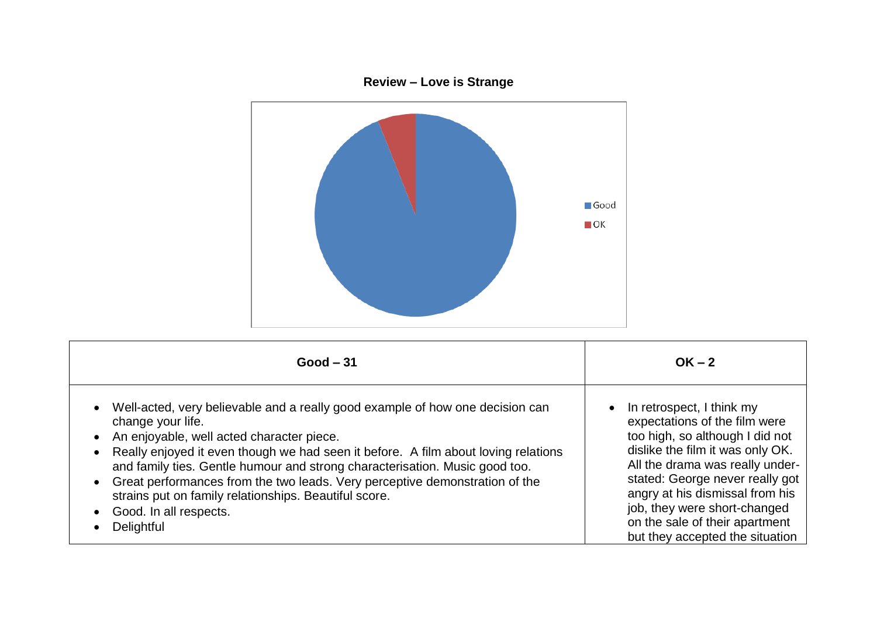

| $Good - 31$                                                                                                                                                                                                                                                                                                                                                                                                                                                                                          | $OK - 2$                                                                                                                                                                                                                                                                                                                                                     |
|------------------------------------------------------------------------------------------------------------------------------------------------------------------------------------------------------------------------------------------------------------------------------------------------------------------------------------------------------------------------------------------------------------------------------------------------------------------------------------------------------|--------------------------------------------------------------------------------------------------------------------------------------------------------------------------------------------------------------------------------------------------------------------------------------------------------------------------------------------------------------|
| Well-acted, very believable and a really good example of how one decision can<br>change your life.<br>An enjoyable, well acted character piece.<br>Really enjoyed it even though we had seen it before. A film about loving relations<br>and family ties. Gentle humour and strong characterisation. Music good too.<br>Great performances from the two leads. Very perceptive demonstration of the<br>strains put on family relationships. Beautiful score.<br>Good. In all respects.<br>Delightful | In retrospect, I think my<br>$\bullet$<br>expectations of the film were<br>too high, so although I did not<br>dislike the film it was only OK.<br>All the drama was really under-<br>stated: George never really got<br>angry at his dismissal from his<br>job, they were short-changed<br>on the sale of their apartment<br>but they accepted the situation |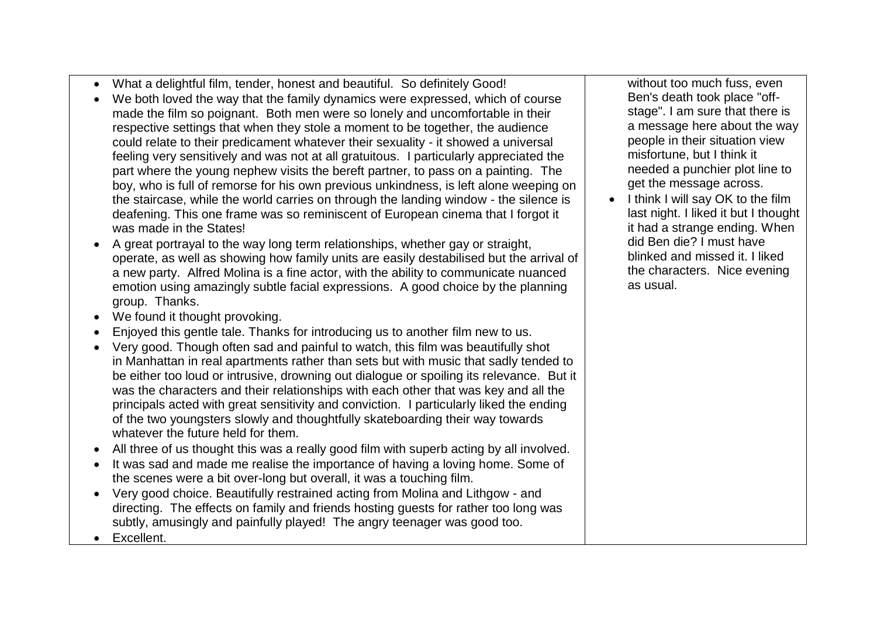- What a delightful film, tender, honest and beautiful. So definitely Good!
- We both loved the way that the family dynamics were expressed, which of course made the film so poignant. Both men were so lonely and uncomfortable in their respective settings that when they stole a moment to be together, the audience could relate to their predicament whatever their sexuality - it showed a universal feeling very sensitively and was not at all gratuitous. I particularly appreciated the part where the young nephew visits the bereft partner, to pass on a painting. The boy, who is full of remorse for his own previous unkindness, is left alone weeping on the staircase, while the world carries on through the landing window - the silence is deafening. This one frame was so reminiscent of European cinema that I forgot it was made in the States!
- A great portrayal to the way long term relationships, whether gay or straight, operate, as well as showing how family units are easily destabilised but the arrival of a new party. Alfred Molina is a fine actor, with the ability to communicate nuanced emotion using amazingly subtle facial expressions. A good choice by the planning group. Thanks.
- We found it thought provoking.
- Enjoyed this gentle tale. Thanks for introducing us to another film new to us.
- Very good. Though often sad and painful to watch, this film was beautifully shot in Manhattan in real apartments rather than sets but with music that sadly tended to be either too loud or intrusive, drowning out dialogue or spoiling its relevance. But it was the characters and their relationships with each other that was key and all the principals acted with great sensitivity and conviction. I particularly liked the ending of the two youngsters slowly and thoughtfully skateboarding their way towards whatever the future held for them.
- All three of us thought this was a really good film with superb acting by all involved.
- It was sad and made me realise the importance of having a loving home. Some of the scenes were a bit over-long but overall, it was a touching film.
- Very good choice. Beautifully restrained acting from Molina and Lithgow and directing. The effects on family and friends hosting guests for rather too long was subtly, amusingly and painfully played! The angry teenager was good too.

• Excellent.

without too much fuss, even Ben's death took place "offstage". I am sure that there is a message here about the way people in their situation view misfortune, but I think it needed a punchier plot line to get the message across.

 $\bullet$  I think I will say OK to the film last night. I liked it but I thought it had a strange ending. When did Ben die? I must have blinked and missed it. I liked the characters. Nice evening as usual.